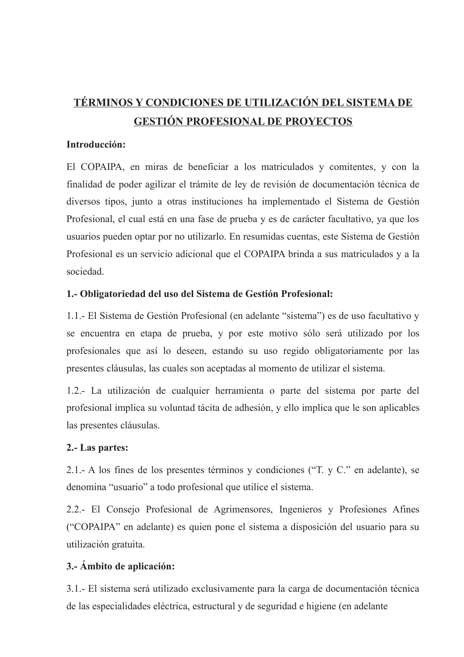# TÉRMINOS Y CONDICIONES DE UTILIZACIÓN DEL SISTEMA DE **GESTIÓN PROFESIONAL DE PROYECTOS**

## Introducción:

El COPAIPA, en miras de beneficiar a los matriculados y comitentes, y con la finalidad de poder agilizar el trámite de ley de revisión de documentación técnica de diversos tipos, junto a otras instituciones ha implementado el Sistema de Gestión Profesional, el cual está en una fase de prueba y es de carácter facultativo, ya que los usuarios pueden optar por no utilizarlo. En resumidas cuentas, este Sistema de Gestión Profesional es un servicio adicional que el COPAIPA brinda a sus matriculados y a la sociedad

# 1.- Obligatoriedad del uso del Sistema de Gestión Profesional:

1.1.- El Sistema de Gestión Profesional (en adelante "sistema") es de uso facultativo y se encuentra en etapa de prueba, y por este motivo sólo será utilizado por los profesionales que así lo deseen, estando su uso regido obligatoriamente por las presentes cláusulas, las cuales son aceptadas al momento de utilizar el sistema.

1.2.- La utilización de cualquier herramienta o parte del sistema por parte del profesional implica su voluntad tácita de adhesión, y ello implica que le son aplicables las presentes cláusulas.

### 2.- Las partes:

2.1.- A los fines de los presentes términos y condiciones ("T. y C." en adelante), se denomina "usuario" a todo profesional que utilice el sistema.

2.2.- El Consejo Profesional de Agrimensores, Ingenieros y Profesiones Afines ("COPAIPA" en adelante) es quien pone el sistema a disposición del usuario para su utilización gratuita.

# 3.- Ámbito de aplicación:

3.1.- El sistema será utilizado exclusivamente para la carga de documentación técnica de las especialidades eléctrica, estructural y de seguridad e higiene (en adelante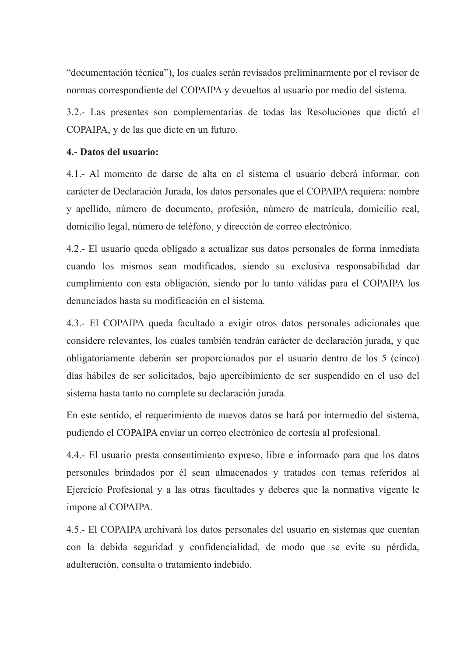"documentación técnica"), los cuales serán revisados preliminarmente por el revisor de normas correspondiente del COPAIPA y devueltos al usuario por medio del sistema.

3.2.- Las presentes son complementarias de todas las Resoluciones que dictó el COPAIPA, y de las que dicte en un futuro.

# 4.- Datos del usuario:

4.1.- Al momento de darse de alta en el sistema el usuario deberá informar, con carácter de Declaración Jurada, los datos personales que el COPAIPA requiera: nombre y apellido, número de documento, profesión, número de matrícula, domicilio real, domicilio legal, número de teléfono, y dirección de correo electrónico.

4.2.- El usuario queda obligado a actualizar sus datos personales de forma inmediata cuando los mismos sean modificados, siendo su exclusiva responsabilidad dar cumplimiento con esta obligación, siendo por lo tanto válidas para el COPAIPA los denunciados hasta su modificación en el sistema.

4.3.- El COPAIPA queda facultado a exigir otros datos personales adicionales que considere relevantes, los cuales también tendrán carácter de declaración jurada, y que obligatoriamente deberán ser proporcionados por el usuario dentro de los 5 (cinco) días hábiles de ser solicitados, bajo apercibimiento de ser suspendido en el uso del sistema hasta tanto no complete su declaración jurada.

En este sentido, el requerimiento de nuevos datos se hará por intermedio del sistema, pudiendo el COPAIPA enviar un correo electrónico de cortesía al profesional.

4.4.- El usuario presta consentimiento expreso, libre e informado para que los datos personales brindados por él sean almacenados y tratados con temas referidos al Ejercicio Profesional y a las otras facultades y deberes que la normativa vigente le impone al COPAIPA.

4.5.- El COPAIPA archivará los datos personales del usuario en sistemas que cuentan con la debida seguridad y confidencialidad, de modo que se evite su pérdida, adulteración, consulta o tratamiento indebido.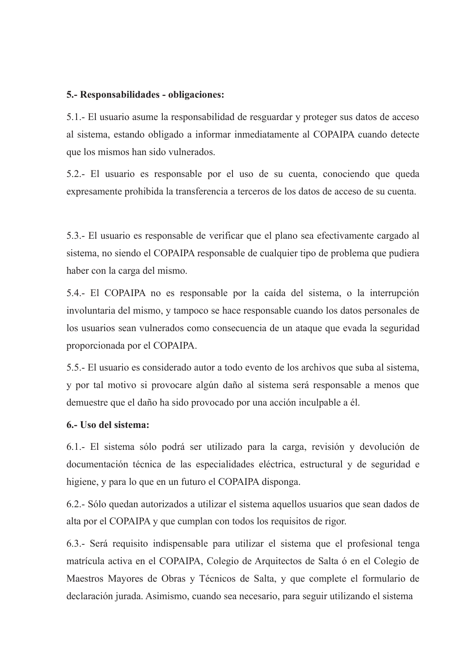#### 5.- Responsabilidades - obligaciones:

5.1.- El usuario asume la responsabilidad de resguardar y proteger sus datos de acceso al sistema, estando obligado a informar inmediatamente al COPAIPA cuando detecte que los mismos han sido vulnerados.

5.2.- El usuario es responsable por el uso de su cuenta, conociendo que queda expresamente prohibida la transferencia a terceros de los datos de acceso de su cuenta.

5.3.- El usuario es responsable de verificar que el plano sea efectivamente cargado al sistema, no siendo el COPAIPA responsable de cualquier tipo de problema que pudiera haber con la carga del mismo.

5.4.- El COPAIPA no es responsable por la caída del sistema, o la interrupción involuntaria del mismo, y tampoco se hace responsable cuando los datos personales de los usuarios sean vulnerados como consecuencia de un ataque que evada la seguridad proporcionada por el COPAIPA.

5.5.- El usuario es considerado autor a todo evento de los archivos que suba al sistema, y por tal motivo si provocare algún daño al sistema será responsable a menos que demuestre que el daño ha sido provocado por una acción inculpable a él.

## 6.- Uso del sistema:

6.1.- El sistema sólo podrá ser utilizado para la carga, revisión y devolución de documentación técnica de las especialidades eléctrica, estructural y de seguridad e higiene, y para lo que en un futuro el COPAIPA disponga.

6.2.- Sólo quedan autorizados a utilizar el sistema aquellos usuarios que sean dados de alta por el COPAIPA y que cumplan con todos los requisitos de rigor.

6.3.- Será requisito indispensable para utilizar el sistema que el profesional tenga matrícula activa en el COPAIPA, Colegio de Arquitectos de Salta ó en el Colegio de Maestros Mayores de Obras y Técnicos de Salta, y que complete el formulario de declaración jurada. Asimismo, cuando sea necesario, para seguir utilizando el sistema